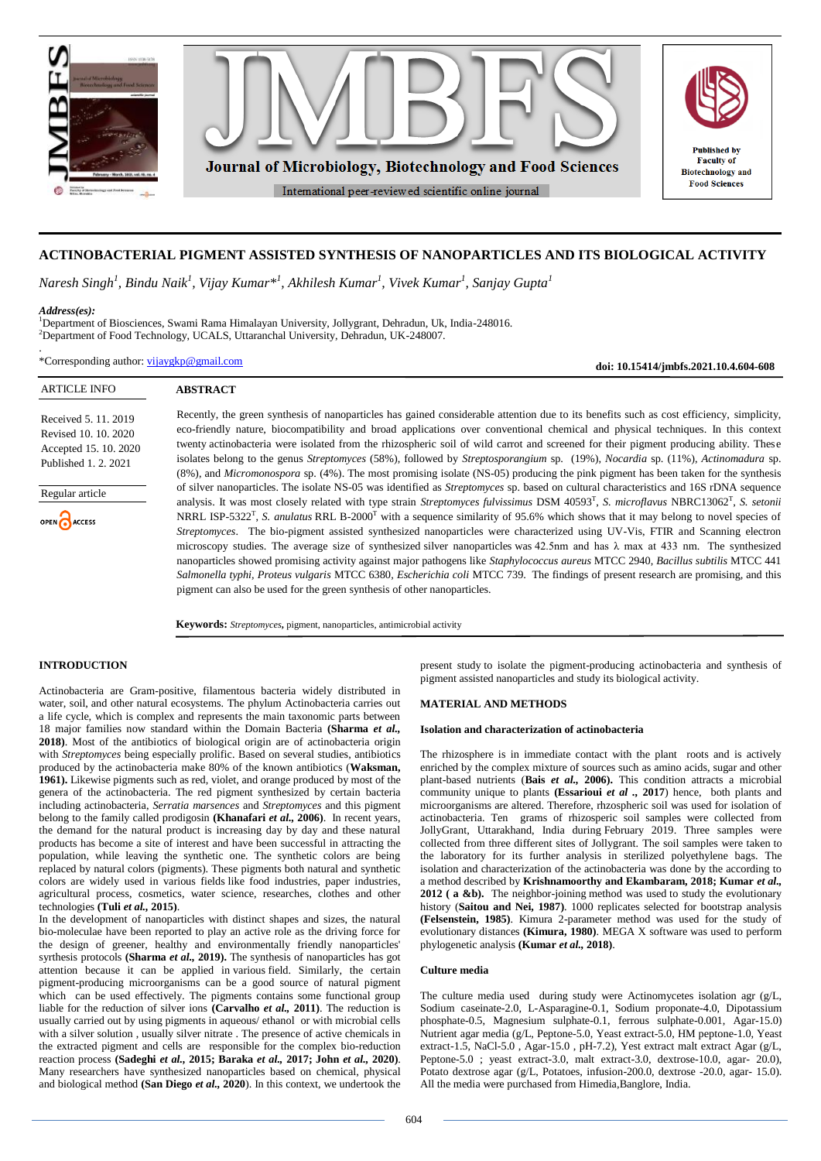

# **ACTINOBACTERIAL PIGMENT ASSISTED SYNTHESIS OF NANOPARTICLES AND ITS BIOLOGICAL ACTIVITY**

*Naresh Singh<sup>1</sup> , Bindu Naik<sup>1</sup> , Vijay Kumar\*<sup>1</sup> , Akhilesh Kumar<sup>1</sup> , Vivek Kumar<sup>1</sup> , Sanjay Gupta<sup>1</sup>*

#### *Address(es):*

.

<sup>1</sup>Department of Biosciences, Swami Rama Himalayan University, Jollygrant, Dehradun, Uk, India-248016. <sup>2</sup>Department of Food Technology, UCALS, Uttaranchal University, Dehradun, UK-248007.

\*Corresponding author: [vijaygkp@gmail.com](mailto:vijaygkp@gmail.com)

**doi: 10.15414/jmbfs.2021.10.4.604-608**

| <b>ARTICLE INFO</b>                                                                                                              | <b>ABSTRACT</b>                                                                                                                                                                                                                                                                                                                                                                                                                                                                                                                                                                                                                                                                                                                                                                                                                                                                                                                                                                                                                                                                                                                                                                                                                                                                                                                                                                                                                                                                                                                                                                                                        |
|----------------------------------------------------------------------------------------------------------------------------------|------------------------------------------------------------------------------------------------------------------------------------------------------------------------------------------------------------------------------------------------------------------------------------------------------------------------------------------------------------------------------------------------------------------------------------------------------------------------------------------------------------------------------------------------------------------------------------------------------------------------------------------------------------------------------------------------------------------------------------------------------------------------------------------------------------------------------------------------------------------------------------------------------------------------------------------------------------------------------------------------------------------------------------------------------------------------------------------------------------------------------------------------------------------------------------------------------------------------------------------------------------------------------------------------------------------------------------------------------------------------------------------------------------------------------------------------------------------------------------------------------------------------------------------------------------------------------------------------------------------------|
| Received 5, 11, 2019<br>Revised 10, 10, 2020<br>Accepted 15, 10, 2020<br>Published 1, 2, 2021<br>Regular article<br>OPEN CACCESS | Recently, the green synthesis of nanoparticles has gained considerable attention due to its benefits such as cost efficiency, simplicity,<br>eco-friendly nature, biocompatibility and broad applications over conventional chemical and physical techniques. In this context<br>twenty actinobacteria were isolated from the rhizospheric soil of wild carrot and screened for their pigment producing ability. These<br>isolates belong to the genus <i>Streptomyces</i> (58%), followed by <i>Streptosporangium</i> sp. (19%), <i>Nocardia</i> sp. (11%), <i>Actinomadura</i> sp.<br>(8%), and <i>Micromonospora</i> sp. (4%). The most promising isolate (NS-05) producing the pink pigment has been taken for the synthesis<br>of silver nanoparticles. The isolate NS-05 was identified as <i>Streptomyces</i> sp. based on cultural characteristics and 16S rDNA sequence<br>analysis. It was most closely related with type strain Streptomyces fulvissimus DSM 40593 <sup>T</sup> , S. microflavus NBRC13062 <sup>T</sup> , S. setonii<br>NRRL ISP-5322 <sup>T</sup> , S. anulatus RRL B-2000 <sup>T</sup> with a sequence similarity of 95.6% which shows that it may belong to novel species of<br>Streptomyces. The bio-pigment assisted synthesized nanoparticles were characterized using UV-Vis, FTIR and Scanning electron<br>microscopy studies. The average size of synthesized silver nanoparticles was 42.5nm and has $\lambda$ max at 433 nm. The synthesized<br>nanoparticles showed promising activity against major pathogens like Staphylococcus aureus MTCC 2940, Bacillus subtilis MTCC 441 |
|                                                                                                                                  | Salmonella typhi, Proteus vulgaris MTCC 6380, Escherichia coli MTCC 739. The findings of present research are promising, and this<br>pigment can also be used for the green synthesis of other nanoparticles.                                                                                                                                                                                                                                                                                                                                                                                                                                                                                                                                                                                                                                                                                                                                                                                                                                                                                                                                                                                                                                                                                                                                                                                                                                                                                                                                                                                                          |

**Keywords:** *Streptomyces***,** pigment, nanoparticles, antimicrobial activity

# **INTRODUCTION**

Actinobacteria are Gram-positive, filamentous bacteria widely distributed in water, soil, and other natural ecosystems. The phylum Actinobacteria carries out a life cycle, which is complex and represents the main taxonomic parts between 18 major families now standard within the Domain Bacteria **(Sharma** *et al.,* **2018)**. Most of the antibiotics of biological origin are of actinobacteria origin with *Streptomyces* being especially prolific. Based on several studies, antibiotics produced by the actinobacteria make 80% of the known antibiotics (**Waksman, 1961).** Likewise pigments such as red, violet, and orange produced by most of the genera of the actinobacteria. The red pigment synthesized by certain bacteria including actinobacteria, *Serratia marsences* and *Streptomyces* and this pigment belong to the family called prodigosin **(Khanafari** *et al.,* **2006)**. In recent years, the demand for the natural product is increasing day by day and these natural products has become a site of interest and have been successful in attracting the population, while leaving the synthetic one. The synthetic colors are being replaced by natural colors (pigments). These pigments both natural and synthetic colors are widely used in various fields like food industries, paper industries, agricultural process, cosmetics, water science, researches, clothes and other technologies **(Tuli** *et al.,* **2015)**.

In the development of nanoparticles with distinct shapes and sizes, the natural bio-moleculae have been reported to play an active role as the driving force for the design of greener, healthy and environmentally friendly nanoparticles' syrthesis protocols **(Sharma** *et al.,* **2019).** The synthesis of nanoparticles has got attention because it can be applied in various field. Similarly, the certain pigment-producing microorganisms can be a good source of natural pigment which can be used effectively. The pigments contains some functional group liable for the reduction of silver ions **(Carvalho** *et al.,* **2011)**. The reduction is usually carried out by using pigments in aqueous/ ethanol or with microbial cells with a silver solution, usually silver nitrate. The presence of active chemicals in the extracted pigment and cells are responsible for the complex bio-reduction reaction process **(Sadeghi** *et al.,* **2015; Baraka** *et al.,* **2017; John** *et al.,* **2020)**. Many researchers have synthesized nanoparticles based on chemical, physical and biological method **(San Diego** *et al.,* **2020**). In this context, we undertook the

present study to isolate the pigment-producing actinobacteria and synthesis of pigment assisted nanoparticles and study its biological activity.

#### **MATERIAL AND METHODS**

#### **Isolation and characterization of actinobacteria**

The rhizosphere is in immediate contact with the plant roots and is actively enriched by the complex mixture of sources such as amino acids, sugar and other plant-based nutrients (**Bais** *et al.,* **2006).** This condition attracts a microbial community unique to plants **(Essarioui** *et al .,* **2017**) hence, both plants and microorganisms are altered. Therefore, rhzospheric soil was used for isolation of actinobacteria. Ten grams of rhizosperic soil samples were collected from JollyGrant, Uttarakhand, India during February 2019. Three samples were collected from three different sites of Jollygrant. The soil samples were taken to the laboratory for its further analysis in sterilized polyethylene bags. The isolation and characterization of the actinobacteria was done by the according to a method described by **Krishnamoorthy and Ekambaram, 2018; Kumar** *et al.,* **2012 ( a &b).** The neighbor-joining method was used to study the evolutionary history (Saitou and Nei, 1987). 1000 replicates selected for bootstrap analysis **(Felsenstein, 1985)**. Kimura 2-parameter method was used for the study of evolutionary distances **(Kimura, 1980)**. MEGA X software was used to perform phylogenetic analysis **(Kumar** *et al.,* **2018)**.

#### **Culture media**

The culture media used during study were Actinomycetes isolation agr (g/L, Sodium caseinate-2.0, L-Asparagine-0.1, Sodium proponate-4.0, Dipotassium phosphate-0.5, Magnesium sulphate-0.1, ferrous sulphate-0.001, Agar-15.0) Nutrient agar media (g/L, Peptone-5.0, Yeast extract-5.0, HM peptone-1.0, Yeast extract-1.5, NaCl-5.0 , Agar-15.0 , pH-7.2), Yest extract malt extract Agar (g/L, Peptone-5.0 ; yeast extract-3.0, malt extract-3.0, dextrose-10.0, agar- 20.0), Potato dextrose agar (g/L, Potatoes, infusion-200.0, dextrose -20.0, agar- 15.0). All the media were purchased from Himedia,Banglore, India.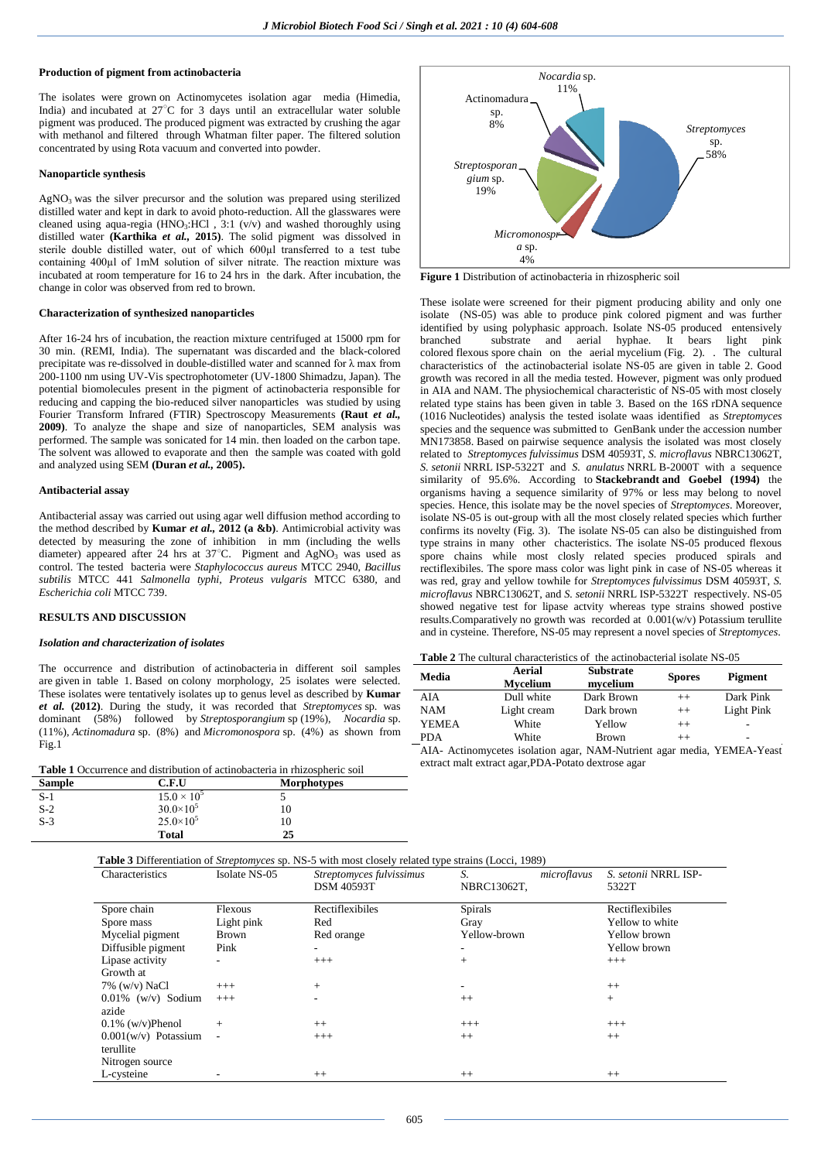# **Production of pigment from actinobacteria**

The isolates were grown on Actinomycetes isolation agar media (Himedia, India) and incubated at 27°C for 3 days until an extracellular water soluble pigment was produced. The produced pigment was extracted by crushing the agar with methanol and filtered through Whatman filter paper. The filtered solution concentrated by using Rota vacuum and converted into powder.

#### **Nanoparticle synthesis**

AgNO<sup>3</sup> was the silver precursor and the solution was prepared using sterilized distilled water and kept in dark to avoid photo-reduction. All the glasswares were cleaned using aqua-regia (HNO<sub>3</sub>:HCl ,  $3:1$  (v/v) and washed thoroughly using distilled water **(Karthika** *et al.,* **2015)**. The solid pigment was dissolved in sterile double distilled water, out of which 600µl transferred to a test tube containing 400µl of 1mM solution of silver nitrate. The reaction mixture was incubated at room temperature for 16 to 24 hrs in the dark. After incubation, the change in color was observed from red to brown.

#### **Characterization of synthesized nanoparticles**

After 16-24 hrs of incubation, the reaction mixture centrifuged at 15000 rpm for 30 min. (REMI, India). The supernatant was discarded and the black-colored precipitate was re-dissolved in double-distilled water and scanned for λ max from 200-1100 nm using UV-Vis spectrophotometer (UV-1800 Shimadzu, Japan). The potential biomolecules present in the pigment of actinobacteria responsible for reducing and capping the bio-reduced silver nanoparticles was studied by using Fourier Transform Infrared (FTIR) Spectroscopy Measurements **(Raut** *et al.,* **2009)**. To analyze the shape and size of nanoparticles, SEM analysis was performed. The sample was sonicated for 14 min. then loaded on the carbon tape. The solvent was allowed to evaporate and then the sample was coated with gold and analyzed using SEM **(Duran** *et al.,* **2005).**

#### **Antibacterial assay**

Antibacterial assay was carried out using agar well diffusion method according to the method described by **Kumar** *et al.,* **2012 (a &b)**. Antimicrobial activity was detected by measuring the zone of inhibition in mm (including the wells diameter) appeared after 24 hrs at 37°C. Pigment and AgNO<sub>3</sub> was used as control. The tested bacteria were *Staphylococcus aureus* MTCC 2940, *Bacillus subtilis* MTCC 441 *Salmonella typhi, Proteus vulgaris* MTCC 6380*,* and *Escherichia coli* MTCC 739.

#### **RESULTS AND DISCUSSION**

#### *Isolation and characterization of isolates*

The occurrence and distribution of actinobacteria in different soil samples are given in table 1. Based on colony morphology, 25 isolates were selected. These isolates were tentatively isolates up to genus level as described by **Kumar**  *et al.* **(2012)**. During the study, it was recorded that *Streptomyces* sp. was dominant (58%) followed by *Streptosporangium* sp (19%), *Nocardia* sp. (11%), *Actinomadura* sp. (8%) and *Micromonospora* sp. (4%) as shown from Fig.1

|  |  |  | <b>Table 1</b> Occurrence and distribution of actinobacteria in rhizospheric soil |  |  |  |
|--|--|--|-----------------------------------------------------------------------------------|--|--|--|
|--|--|--|-----------------------------------------------------------------------------------|--|--|--|

| <b>Sample</b> | C.F.U              | <b>Morphotypes</b> |  |
|---------------|--------------------|--------------------|--|
| $S-1$         | $15.0 \times 10^5$ | ͻ                  |  |
| $S-2$         | $30.0\times10^{5}$ | 10                 |  |
| $S-3$         | $25.0 \times 10^5$ | 10                 |  |
|               | Total              | 25                 |  |



**Figure 1** Distribution of actinobacteria in rhizospheric soil

These isolate were screened for their pigment producing ability and only one isolate (NS-05) was able to produce pink colored pigment and was further identified by using polyphasic approach. Isolate NS-05 produced entensively branched substrate and aerial hyphae. It bears light pink colored flexous spore chain on the aerial mycelium (Fig. 2). . The cultural characteristics of the actinobacterial isolate NS-05 are given in table 2. Good growth was recored in all the media tested. However, pigment was only produed in AIA and NAM. The physiochemical characteristic of NS-05 with most closely related type stains has been given in table 3. Based on the 16S rDNA sequence (1016 Nucleotides) analysis the tested isolate waas identified as *Streptomyces* species and the sequence was submitted to GenBank under the accession number MN173858. Based on pairwise sequence analysis the isolated was most closely related to *Streptomyces fulvissimus* DSM 40593T, *S. microflavus* NBRC13062T, *S. setonii* NRRL ISP-5322T and *S. anulatus* NRRL B-2000T with a sequence similarity of 95.6%. According to **Stackebrandt and Goebel (1994)** the organisms having a sequence similarity of 97% or less may belong to novel species. Hence, this isolate may be the novel species of *Streptomyces*. Moreover, isolate NS-05 is out-group with all the most closely related species which further confirms its novelty (Fig. 3). The isolate NS-05 can also be distinguished from type strains in many other chacteristics. The isolate NS-05 produced flexous spore chains while most closly related species produced spirals and rectiflexibiles. The spore mass color was light pink in case of NS-05 whereas it was red, gray and yellow towhile for *Streptomyces fulvissimus* DSM 40593T, *S. microflavus* NBRC13062T, and *S. setonii* NRRL ISP-5322T respectively. NS-05 showed negative test for lipase actvity whereas type strains showed postive results.Comparatively no growth was recorded at 0.001(w/v) Potassium terullite and in cysteine. Therefore, NS-05 may represent a novel species of *Streptomyces*.

| Media        | Aerial<br>Mycelium                                                                                                                                                                                                               | <b>Substrate</b><br>mycelium | <b>Spores</b> | Pigment    |
|--------------|----------------------------------------------------------------------------------------------------------------------------------------------------------------------------------------------------------------------------------|------------------------------|---------------|------------|
| AIA          | Dull white                                                                                                                                                                                                                       | Dark Brown                   | $++$          | Dark Pink  |
| <b>NAM</b>   | Light cream                                                                                                                                                                                                                      | Dark brown                   | $++$          | Light Pink |
| <b>YEMEA</b> | White                                                                                                                                                                                                                            | Yellow                       | $^{++}$       |            |
| <b>PDA</b>   | White                                                                                                                                                                                                                            | <b>Brown</b>                 | $^{++}$       | -          |
| <b>ATA</b>   | $\mathbf{A}$ and the contract of the contract of the contract of the contract of the contract of the contract of the contract of the contract of the contract of the contract of the contract of the contract of the contract of |                              |               |            |

AIA- Actinomycetes isolation agar, NAM-Nutrient agar media, YEMEA-Yeast extract malt extract agar,PDA-Potato dextrose agar

| Characteristics        | Isolate NS-05 | Streptomyces fulvissimus | S.           | microflavus | S. setonii NRRL ISP- |
|------------------------|---------------|--------------------------|--------------|-------------|----------------------|
|                        |               | <b>DSM 40593T</b>        | NBRC13062T,  |             | 5322T                |
| Spore chain            | Flexous       | Rectiflexibiles          | Spirals      |             | Rectiflexibiles      |
| Spore mass             | Light pink    | Red                      | Gray         |             | Yellow to white      |
| Mycelial pigment       | <b>Brown</b>  | Red orange               | Yellow-brown |             | Yellow brown         |
| Diffusible pigment     | Pink          |                          |              |             | Yellow brown         |
| Lipase activity        |               | $+++$                    | $+$          |             | $+++$                |
| Growth at              |               |                          |              |             |                      |
| $7\%$ (w/v) NaCl       | $+++$         | $^{+}$                   | ٠.           |             | $++$                 |
| $0.01\%$ (w/v) Sodium  | $+++$         | ٠                        | $++$         |             | $+$                  |
| azide                  |               |                          |              |             |                      |
| $0.1\%$ (w/v)Phenol    | $+$           | $++$                     | $+++$        |             | $+++$                |
| $0.001(w/v)$ Potassium |               | $+++$                    | $++$         |             | $++$                 |
| terullite              |               |                          |              |             |                      |
| Nitrogen source        |               |                          |              |             |                      |
| L-cysteine             | ۰             | $++$                     | $++$         |             | $++$                 |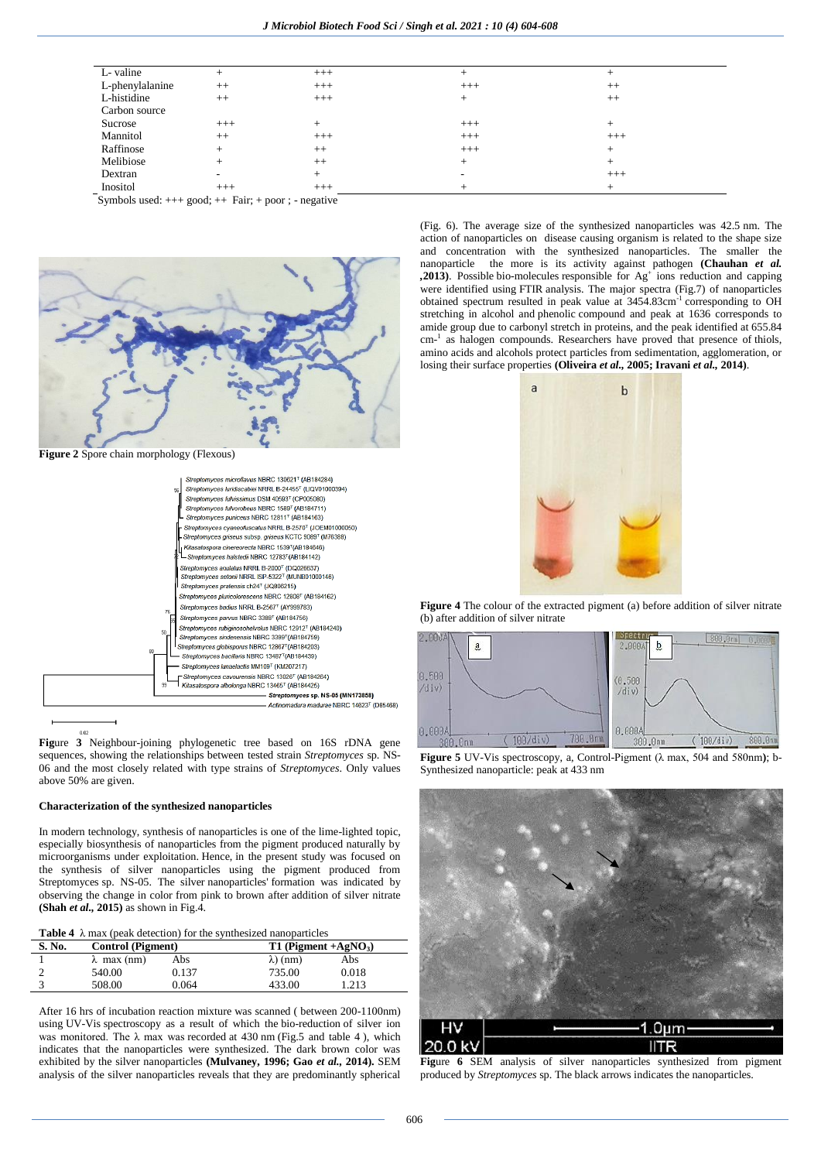| L-valine                       | $^+$   | $+++$     | $^+$   |       |  |
|--------------------------------|--------|-----------|--------|-------|--|
| L-phenylalanine                | $++$   | $+++$     | $+++$  | $++$  |  |
| L-histidine                    | $++$   | $+++$     | $^{+}$ | $++$  |  |
| Carbon source                  |        |           |        |       |  |
| Sucrose                        | $+++$  | $^{+}$    | $+++$  |       |  |
| Mannitol                       | $++$   | $+++$     | $+++$  | $+++$ |  |
| Raffinose                      | $^+$   | $++$      | $+++$  | $^+$  |  |
| Melibiose                      |        | $++$      | $^+$   |       |  |
| Dextran                        |        | $^+$      |        | $+++$ |  |
| Inositol                       | $+++$  | $+++$     |        |       |  |
| $\sim$ $\sim$ $\sim$<br>$\sim$ | $\sim$ | $\cdot$ . |        |       |  |

Symbols used:  $+++$  good;  $++$  Fair;  $+$  poor ; - negative



**Figure 2** Spore chain morphology (Flexous)



**Fig**ure **3** Neighbour-joining phylogenetic tree based on 16S rDNA gene sequences, showing the relationships between tested strain *Streptomyces* sp. NS-06 and the most closely related with type strains of *Streptomyces*. Only values above 50% are given.

#### **Characterization of the synthesized nanoparticles**

In modern technology, synthesis of nanoparticles is one of the lime-lighted topic, especially biosynthesis of nanoparticles from the pigment produced naturally by microorganisms under exploitation. Hence, in the present study was focused on the synthesis of silver nanoparticles using the pigment produced from Streptomyces sp. NS-05. The silver nanoparticles' formation was indicated by observing the change in color from pink to brown after addition of silver nitrate **(Shah** *et al.,* **2015)** as shown in Fig.4.

**Table 4** λ max (peak detection) for the synthesized nanoparticles

| S. No. | <b>Control</b> (Pigment) |       | $T1$ (Pigment +AgNO <sub>3</sub> ) |       |  |
|--------|--------------------------|-------|------------------------------------|-------|--|
|        | $\lambda$ max (nm)       | Abs   | $\lambda$ ) (nm)                   | Abs   |  |
|        | 540.00                   | 0.137 | 735.00                             | 0.018 |  |
|        | 508.00                   | 0.064 | 433.00                             | 1.213 |  |

After 16 hrs of incubation reaction mixture was scanned ( between 200-1100nm) using UV-Vis spectroscopy as a result of which the bio-reduction of silver ion was monitored. The  $\lambda$  max was recorded at 430 nm (Fig.5 and table 4), which indicates that the nanoparticles were synthesized. The dark brown color was exhibited by the silver nanoparticles **(Mulvaney, 1996; Gao** *et al.,* **2014).** SEM analysis of the silver nanoparticles reveals that they are predominantly spherical (Fig. 6). The average size of the synthesized nanoparticles was 42.5 nm. The action of nanoparticles on disease causing organism is related to the shape size and concentration with the synthesized nanoparticles. The smaller the nanoparticle the more is its activity against pathogen **(Chauhan** *et al.*   $,2013$ ). Possible bio-molecules responsible for  $Ag<sup>+</sup>$  ions reduction and capping were identified using FTIR analysis. The major spectra (Fig.7) of nanoparticles obtained spectrum resulted in peak value at 3454.83cm<sup>-1</sup> corresponding to OH stretching in alcohol and phenolic compound and peak at 1636 corresponds to amide group due to carbonyl stretch in proteins, and the peak identified at 655.84 cm<sup>-1</sup> as halogen compounds. Researchers have proved that presence of thiols, amino acids and alcohols protect particles from sedimentation, agglomeration, or losing their surface properties **(Oliveira** *et al.,* **2005; Iravani** *et al.,* **2014)**.



**Figure 4** The colour of the extracted pigment (a) before addition of silver nitrate (b) after addition of silver nitrate



**Figure 5** UV-Vis spectroscopy, a, Control-Pigment (λ max, 504 and 580nm**)**; b-Synthesized nanoparticle: peak at 433 nm



**Fig**ure **6** SEM analysis of silver nanoparticles synthesized from pigment produced by *Streptomyces* sp. The black arrows indicates the nanoparticles.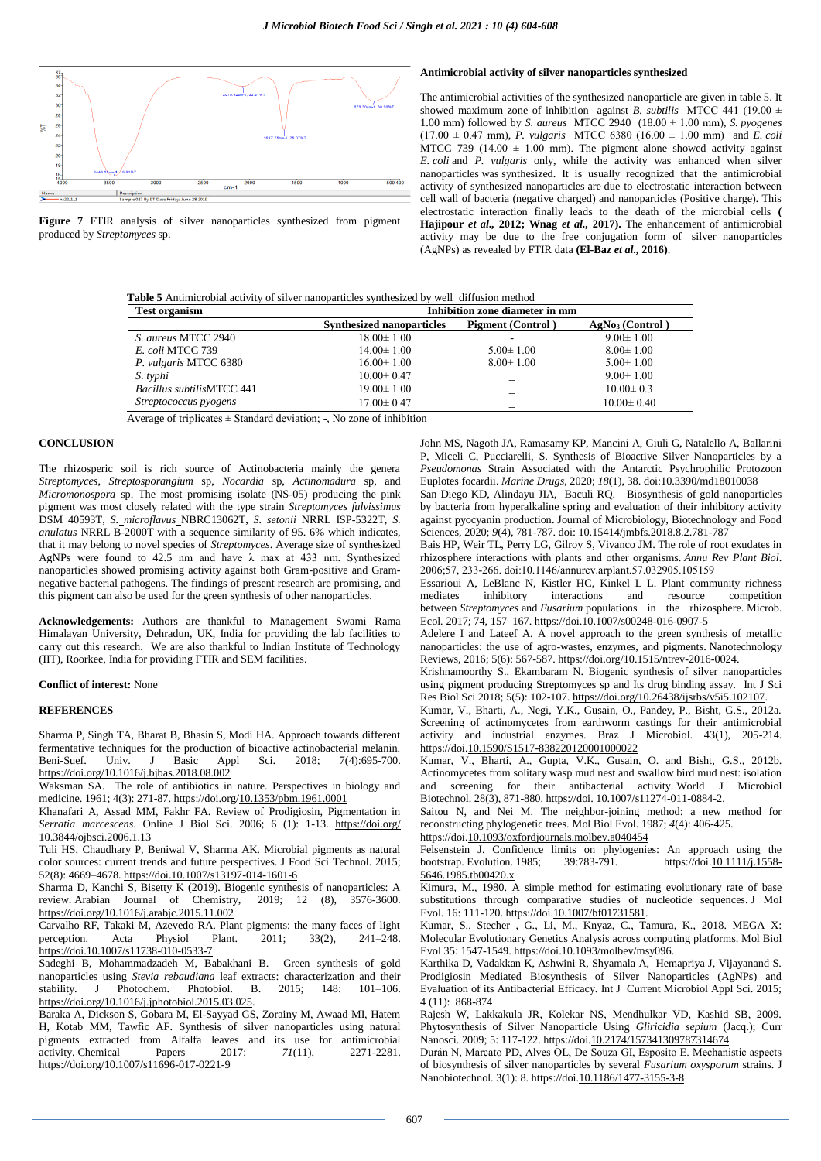

**Figure 7** FTIR analysis of silver nanoparticles synthesized from pigment produced by *Streptomyces* sp.

## **Antimicrobial activity of silver nanoparticles synthesized**

The antimicrobial activities of the synthesized nanoparticle are given in table 5. It showed maximum zone of inhibition against *B. subtilis* MTCC 441 (19.00 ± 1.00 mm) followed by *S. aureus* MTCC 2940 (18.00 ± 1.00 mm)*, S. pyogenes*  $(17.00 \pm 0.47 \text{ mm})$ , *P. vulgaris* MTCC 6380 (16.00  $\pm$  1.00 mm) and *E. coli* MTCC 739 (14.00  $\pm$  1.00 mm). The pigment alone showed activity against *E. coli* and *P. vulgaris* only, while the activity was enhanced when silver nanoparticles was synthesized. It is usually recognized that the antimicrobial activity of synthesized nanoparticles are due to electrostatic interaction between cell wall of bacteria (negative charged) and nanoparticles (Positive charge). This electrostatic interaction finally leads to the death of the microbial cells **( Hajipour** *et al.,* **2012; Wnag** *et al.,* **2017).** The enhancement of antimicrobial activity may be due to the free conjugation form of silver nanoparticles (AgNPs) as revealed by FTIR data **(El-Baz** *et al.,* **2016)**.

| <b>Table 5</b> Antimicrobial activity of silver nanoparticles synthesized by well diffusion method |  |  |  |  |
|----------------------------------------------------------------------------------------------------|--|--|--|--|
|----------------------------------------------------------------------------------------------------|--|--|--|--|

| <b>Test organism</b>      | Inhibition zone diameter in mm   |                          |                             |  |
|---------------------------|----------------------------------|--------------------------|-----------------------------|--|
|                           | <b>Synthesized nanoparticles</b> | <b>Pigment</b> (Control) | AgNo <sub>3</sub> (Control) |  |
| S. aureus MTCC 2940       | $18.00 \pm 1.00$                 |                          | $9.00 \pm 1.00$             |  |
| E. coli MTCC 739          | $14.00 \pm 1.00$                 | $5.00 \pm 1.00$          | $8.00 \pm 1.00$             |  |
| P. vulgaris MTCC 6380     | $16.00 \pm 1.00$                 | $8.00 \pm 1.00$          | $5.00 \pm 1.00$             |  |
| S. typhi                  | $10.00 \pm 0.47$                 |                          | $9.00 \pm 1.00$             |  |
| Bacillus subtilisMTCC 441 | $19.00 \pm 1.00$                 |                          | $10.00 \pm 0.3$             |  |
| Streptococcus pyogens     | $17.00 \pm 0.47$                 |                          | $10.00 \pm 0.40$            |  |

Average of triplicates  $\pm$  Standard deviation:  $\overline{\phantom{a}}$ . No zone of inhibition

# **CONCLUSION**

The rhizosperic soil is rich source of Actinobacteria mainly the genera *Streptomyces*, *Streptosporangium* sp, *Nocardia* sp, *Actinomadura* sp, and *Micromonospora* sp. The most promising isolate (NS-05) producing the pink pigment was most closely related with the type strain *Streptomyces fulvissimus* DSM 40593T, *S. microflavus* NBRC13062T, *S. setonii* NRRL ISP-5322T, *S. anulatus* NRRL B-2000T with a sequence similarity of 95. 6% which indicates, that it may belong to novel species of *Streptomyces*. Average size of synthesized AgNPs were found to  $42.\overline{5}$  nm and have  $\lambda$  max at  $433$  nm. Synthesized nanoparticles showed promising activity against both Gram-positive and Gramnegative bacterial pathogens. The findings of present research are promising, and this pigment can also be used for the green synthesis of other nanoparticles.

**Acknowledgements:** Authors are thankful to Management Swami Rama Himalayan University, Dehradun, UK, India for providing the lab facilities to carry out this research. We are also thankful to Indian Institute of Technology (IIT), Roorkee, India for providing FTIR and SEM facilities.

**Conflict of interest:** None

# **REFERENCES**

Sharma P, Singh TA, Bharat B, Bhasin S, Modi HA. Approach towards different fermentative techniques for the production of bioactive actinobacterial melanin.<br>Beni-Suef. Univ. J Basic Appl Sci. 2018; 7(4):695-700. J Basic Appl Sci. 2018; 7(4):695-700. <https://doi.org/10.1016/j.bjbas.2018.08.002>

Waksman SA. The role of antibiotics in nature. Perspectives in biology and medicine. 1961; 4(3): 271-87. https://doi.or[g/10.1353/pbm.1961.0001](https://doi.org/10.1353/pbm.1961.0001)

Khanafari A, Assad MM, Fakhr FA. Review of Prodigiosin, Pigmentation in *Serratia marcescens*. Online J Biol Sci. 2006; 6 (1): 1-13. <https://doi.org/> 10.3844/ojbsci.2006.1.13

Tuli HS, Chaudhary P, Beniwal V, Sharma AK. Microbial pigments as natural color sources: current trends and future perspectives. J Food Sci Technol. 2015; 52(8): 4669–4678.<https://doi.10.1007/s13197-014-1601-6>

Sharma D, Kanchi S, Bisetty K (2019). Biogenic synthesis of nanoparticles: A review Arabian Journal of Chemistry 2019: 12 (8) 3576-3600 review. Arabian Journal of Chemistry, 2019; 12 (8), <https://doi.org/10.1016/j.arabjc.2015.11.002>

Carvalho RF, Takaki M, Azevedo RA. Plant pigments: the many faces of light perception. Acta Physiol Plant. 2011; 33(2), 241-248. <https://doi.10.1007/s11738-010-0533-7>

Sadeghi B, Mohammadzadeh M, Babakhani B. Green synthesis of gold nanoparticles using *Stevia rebaudiana* leaf extracts: characterization and their stability. J Photochem. Photobiol. B. 2015; 148: 101–106. [https://doi.org/10.1016/j.jphotobiol.2015.03.025.](https://doi.org/10.1016/j.jphotobiol.2015.03.025)

Baraka A, Dickson S, Gobara M, El-Sayyad GS, Zorainy M, Awaad MI, Hatem H, Kotab MM, Tawfic AF. Synthesis of silver nanoparticles using natural pigments extracted from Alfalfa leaves and its use for antimicrobial activity. Chemical Papers 2017:  $71(11)$ , 2271-2281. activity. Chemical Papers  $2017$ ;  $71(11)$ , <https://doi.org/10.1007/s11696-017-0221-9>

John MS, Nagoth JA, Ramasamy KP, Mancini A, Giuli G, Natalello A, Ballarini P, Miceli C, Pucciarelli, S. Synthesis of Bioactive Silver Nanoparticles by a *Pseudomonas* Strain Associated with the Antarctic Psychrophilic Protozoon Euplotes focardii. *Marine Drugs*, 2020; *18*(1), 38. doi:10.3390/md18010038 San Diego KD, Alindayu JIA, Baculi RQ. Biosynthesis of gold nanoparticles

by bacteria from hyperalkaline spring and evaluation of their inhibitory activity against pyocyanin production. Journal of Microbiology, Biotechnology and Food Sciences, 2020; *9*(4), 781-787. doi: 10.15414/jmbfs.2018.8.2.781-787

Bais HP, Weir TL, Perry LG, Gilroy S, Vivanco JM. The role of root exudates in rhizosphere interactions with plants and other organisms. *Annu Rev Plant Biol*. 2006;57, 233‐266. doi:10.1146/annurev.arplant.57.032905.105159

Essarioui A, LeBlanc N, Kistler HC, Kinkel L L. Plant community richness mediates inhibitory interactions and resource competition between *Streptomyces* and *Fusarium* populations in the rhizosphere. Microb. Ecol*.* 2017; 74, 157–167. https://doi.10.1007/s00248-016-0907-5

Adelere I and Lateef A. A novel approach to the green synthesis of metallic nanoparticles: the use of agro-wastes, enzymes, and pigments. Nanotechnology Reviews, 2016; 5(6): 567-587. https://doi.org/10.1515/ntrev-2016-0024.

Krishnamoorthy S., Ekambaram N. Biogenic synthesis of silver nanoparticles using pigment producing Streptomyces sp and Its drug binding assay. Int J Sci Res Biol Sci 2018; 5(5): 102-107[. https://doi.org/10.26438/ijsrbs/v5i5.102107.](https://doi.org/10.26438/ijsrbs/v5i5.102107)

Kumar, V., Bharti, A., Negi, Y.K., Gusain, O., Pandey, P., Bisht, G.S., 2012a. Screening of actinomycetes from earthworm castings for their antimicrobial activity and industrial enzymes. Braz J Microbiol. 43(1), 205-214. https://do[i.10.1590/S1517-838220120001000022](https://dx.doi.org/10.1590%2FS1517-838220120001000022)

Kumar, V., Bharti, A., Gupta, V.K., Gusain, O. and Bisht, G.S., 2012b. Actinomycetes from solitary wasp mud nest and swallow bird mud nest: isolation and screening for their antibacterial activity. World J Microbiol Biotechnol. 28(3), 871-880. https://doi. 10.1007/s11274-011-0884-2.

Saitou N, and Nei M. The neighbor-joining method: a new method for reconstructing phylogenetic trees. Mol Biol Evol. 1987; *4*(4): 406-425. https://do[i.10.1093/oxfordjournals.molbev.a040454](https://doi.org/10.1093/oxfordjournals.molbev.a040454)

Felsenstein J. Confidence limits on phylogenies: An approach using the bootstrap. Evolution. 1985; 39:783-791. https://do[i.10.1111/j.1558-](https://doi.org/10.1111/j.1558-5646.1985.tb00420.x) [5646.1985.tb00420.x](https://doi.org/10.1111/j.1558-5646.1985.tb00420.x)

Kimura, M., 1980. A simple method for estimating evolutionary rate of base substitutions through comparative studies of nucleotide sequences. J Mol Evol. 16: 111-120. https://do[i.10.1007/bf01731581.](https://doi.org/10.1007/bf01731581)

Kumar, S., Stecher , G., Li, M., Knyaz, C., Tamura, K., 2018. MEGA X: Molecular Evolutionary Genetics Analysis across computing platforms. Mol Biol Evol 35: 1547-1549. https://doi.10.1093/molbev/msy096.

Karthika D, Vadakkan K, Ashwini R, Shyamala A, Hemapriya J, Vijayanand S. Prodigiosin Mediated Biosynthesis of Silver Nanoparticles (AgNPs) and Evaluation of its Antibacterial Efficacy. Int J Current Microbiol Appl Sci. 2015; 4 (11): 868-874

Rajesh W, Lakkakula JR, Kolekar NS, Mendhulkar VD, Kashid SB, 2009. Phytosynthesis of Silver Nanoparticle Using *Gliricidia sepium* (Jacq.); Curr Nanosci. 2009; 5: 117-122. https://do[i.10.2174/157341309787314674](https://doi.org/10.2174/157341309787314674)

Durán N, Marcato PD, Alves OL, De Souza GI, Esposito E. Mechanistic aspects of biosynthesis of silver nanoparticles by several *Fusarium oxysporum* strains. J Nanobiotechnol. 3(1): 8. https://do[i.10.1186/1477-3155-3-8](https://dx.doi.org/10.1186%2F1477-3155-3-8)